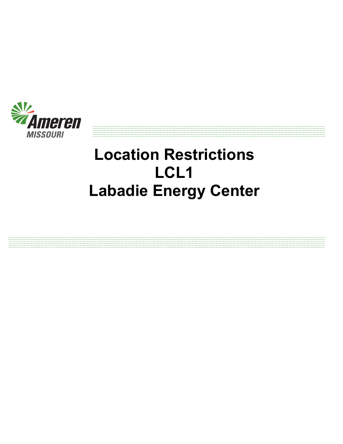

# **Location Restrictions LCL1 Labadie Energy Center**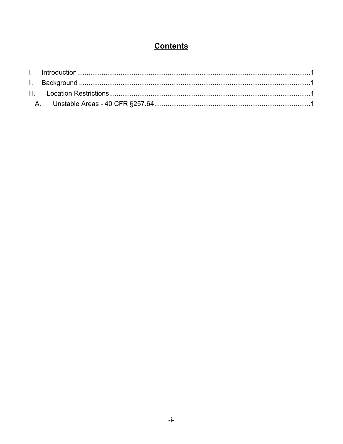# **Contents**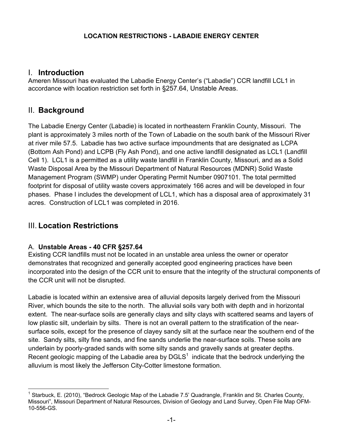#### **LOCATION RESTRICTIONS - LABADIE ENERGY CENTER**

#### I. **Introduction**

Ameren Missouri has evaluated the Labadie Energy Center's ("Labadie") CCR landfill LCL1 in accordance with location restriction set forth in §257.64, Unstable Areas.

# II. **Background**

The Labadie Energy Center (Labadie) is located in northeastern Franklin County, Missouri. The plant is approximately 3 miles north of the Town of Labadie on the south bank of the Missouri River at river mile 57.5. Labadie has two active surface impoundments that are designated as LCPA (Bottom Ash Pond) and LCPB (Fly Ash Pond), and one active landfill designated as LCL1 (Landfill Cell 1). LCL1 is a permitted as a utility waste landfill in Franklin County, Missouri, and as a Solid Waste Disposal Area by the Missouri Department of Natural Resources (MDNR) Solid Waste Management Program (SWMP) under Operating Permit Number 0907101. The total permitted footprint for disposal of utility waste covers approximately 166 acres and will be developed in four phases. Phase I includes the development of LCL1, which has a disposal area of approximately 31 acres. Construction of LCL1 was completed in 2016.

# III. **Location Restrictions**

#### A. **Unstable Areas - 40 CFR §257.64**

Existing CCR landfills must not be located in an unstable area unless the owner or operator demonstrates that recognized and generally accepted good engineering practices have been incorporated into the design of the CCR unit to ensure that the integrity of the structural components of the CCR unit will not be disrupted.

Labadie is located within an extensive area of alluvial deposits largely derived from the Missouri River, which bounds the site to the north. The alluvial soils vary both with depth and in horizontal extent. The near-surface soils are generally clays and silty clays with scattered seams and layers of low plastic silt, underlain by silts. There is not an overall pattern to the stratification of the nearsurface soils, except for the presence of clayey sandy silt at the surface near the southern end of the site. Sandy silts, silty fine sands, and fine sands underlie the near-surface soils. These soils are underlain by poorly-graded sands with some silty sands and gravelly sands at greater depths. Recent geologic mapping of the Labadie area by DGLS<sup>1</sup> indicate that the bedrock underlying the alluvium is most likely the Jefferson City-Cotter limestone formation.

l 1 Starbuck, E. (2010), "Bedrock Geologic Map of the Labadie 7.5' Quadrangle, Franklin and St. Charles County, Missouri", Missouri Department of Natural Resources, Division of Geology and Land Survey, Open File Map OFM-10-556-GS.